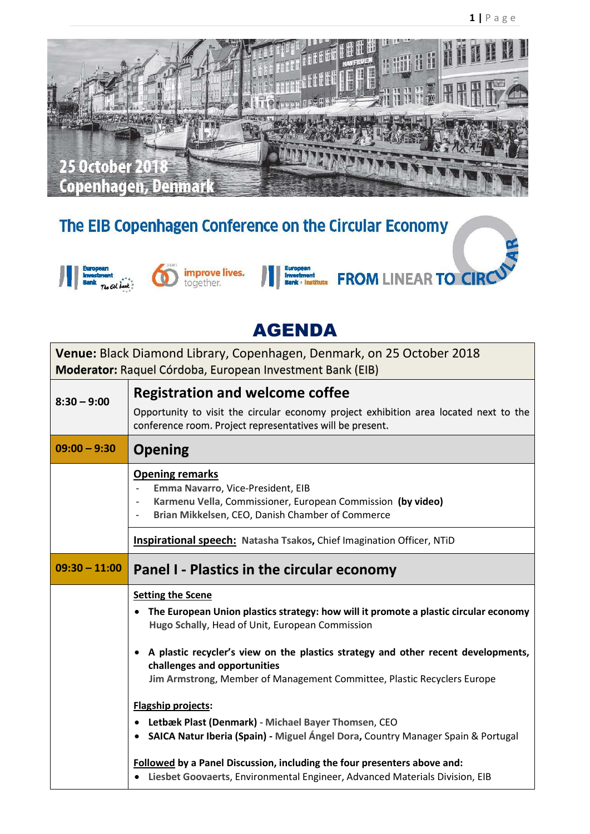

## The EIB Copenhagen Conference on the Circular Economy





## AGENDA

**PTR FROM LINEAR TO CIRC** 

**Venue:** Black Diamond Library, Copenhagen, Denmark, on 25 October 2018 **Moderator:** Raquel Córdoba, European Investment Bank (EIB)

| $8:30 - 9:00$   | <b>Registration and welcome coffee</b>                                                                                                                                                                                                 |
|-----------------|----------------------------------------------------------------------------------------------------------------------------------------------------------------------------------------------------------------------------------------|
|                 | Opportunity to visit the circular economy project exhibition area located next to the<br>conference room. Project representatives will be present.                                                                                     |
| $09:00 - 9:30$  | <b>Opening</b>                                                                                                                                                                                                                         |
|                 | <b>Opening remarks</b><br>Emma Navarro, Vice-President, EIB<br>Karmenu Vella, Commissioner, European Commission (by video)<br>$\overline{\phantom{a}}$<br>Brian Mikkelsen, CEO, Danish Chamber of Commerce<br>$\overline{\phantom{a}}$ |
|                 | <b>Inspirational speech:</b> Natasha Tsakos, Chief Imagination Officer, NTiD                                                                                                                                                           |
| $09:30 - 11:00$ | Panel I - Plastics in the circular economy                                                                                                                                                                                             |
|                 |                                                                                                                                                                                                                                        |
|                 | <b>Setting the Scene</b><br>• The European Union plastics strategy: how will it promote a plastic circular economy<br>Hugo Schally, Head of Unit, European Commission                                                                  |
|                 | • A plastic recycler's view on the plastics strategy and other recent developments,<br>challenges and opportunities<br>Jim Armstrong, Member of Management Committee, Plastic Recyclers Europe                                         |
|                 | <b>Flagship projects:</b>                                                                                                                                                                                                              |
|                 | Letbæk Plast (Denmark) - Michael Bayer Thomsen, CEO<br>• SAICA Natur Iberia (Spain) - Miguel Ángel Dora, Country Manager Spain & Portugal                                                                                              |